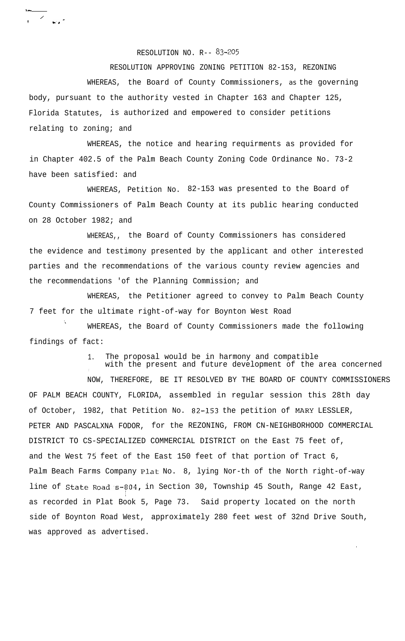RESOLUTION NO. R-- 83-205

RESOLUTION APPROVING ZONING PETITION 82-153, REZONING

WHEREAS, the Board of County Commissioners, *as* the governing body, pursuant to the authority vested in Chapter 163 and Chapter 125, Florida Statutes, is authorized and empowered to consider petitions relating to zoning; and

WHEREAS, the notice and hearing requirments as provided for in Chapter 402.5 of the Palm Beach County Zoning Code Ordinance No. 73-2 have been satisfied: and

WHEREAS, Petition No. 82-153 was presented to the Board of County Commissioners of Palm Beach County at its public hearing conducted on 28 October 1982; and

WHEREAS,, the Board of County Commissioners has considered the evidence and testimony presented by the applicant and other interested parties and the recommendations of the various county review agencies and the recommendations 'of the Planning Commission; and

WHEREAS, the Petitioner agreed to convey to Palm Beach County 7 feet for the ultimate right-of-way for Boynton West Road

WHEREAS, the Board of County Commissioners made the following findings of fact:

> 1. The proposal would be in harmony and compatible with the present and future development of the area concerned

NOW, THEREFORE, BE IT RESOLVED BY THE BOARD OF COUNTY COMMISSIONERS OF PALM BEACH COUNTY, FLORIDA, assembled in regular session this 28th day of October, 1982, that Petition No. 82-153 the petition of MARY LESSLER, PETER AND PASCALXNA FODOR, for the REZONING, FROM CN-NEIGHBORHOOD COMMERCIAL DISTRICT TO CS-SPECIALIZED COMMERCIAL DISTRICT on the East 75 feet of, and the West 75 feet of the East 150 feet of that portion of Tract 6, Palm Beach Farms Company Plat No. 8, lying Nor-th of the North right-of-way line of State Road s-804, in Section 30, Township 45 South, Range 42 East, . as recorded in Plat Book 5, Page 73. Said property located on the north side of Boynton Road West, approximately 280 feet west of 32nd Drive South, was approved as advertised.

.

.

,- /  $1 - \frac{1}{2}$  control  $\frac{1}{2}$